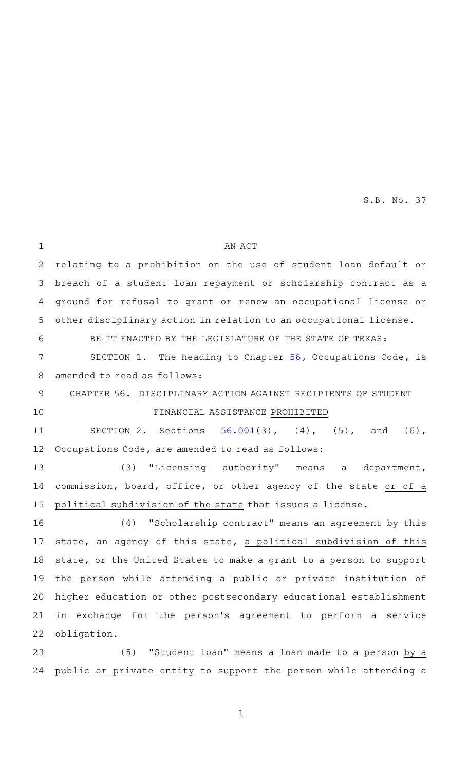AN ACT relating to a prohibition on the use of student loan default or breach of a student loan repayment or scholarship contract as a ground for refusal to grant or renew an occupational license or other disciplinary action in relation to an occupational license. BE IT ENACTED BY THE LEGISLATURE OF THE STATE OF TEXAS: SECTION 1. The heading to Chapter  $56$ , Occupations Code, is amended to read as follows: CHAPTER 56. DISCIPLINARY ACTION AGAINST RECIPIENTS OF STUDENT FINANCIAL ASSISTANCE PROHIBITED SECTION 2. Sections  $56.001(3)$  $56.001(3)$ ,  $(4)$ ,  $(5)$ , and  $(6)$ , Occupations Code, are amended to read as follows: (3) "Licensing authority" means a department, commission, board, office, or other agency of the state or of a political subdivision of the state that issues a license. (4) "Scholarship contract" means an agreement by this state, an agency of this state, a political subdivision of this state, or the United States to make a grant to a person to support the person while attending a public or private institution of higher education or other postsecondary educational establishment in exchange for the person's agreement to perform a service obligation. (5) "Student loan" means a loan made to a person by a public or private entity to support the person while attending a 1 2 3 4 5 6 7 8 9 10 11 12 13 14 15 16 17 18 19 20 21 22 23 24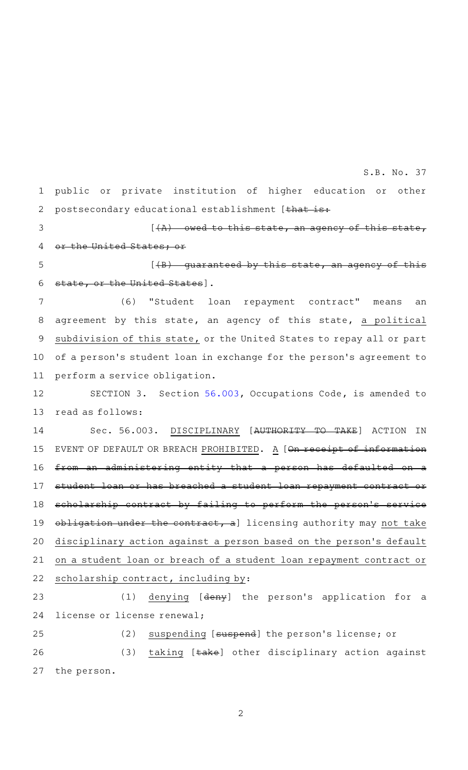public or private institution of higher education or other postsecondary educational establishment [that is: 1 2

3

## $[$   $(A)$  – owed to this state, an agency of this state,

the United States; or 4

 $[4B)$  quaranteed by this state, an agency of this state, or the United States]. 5 6

(6) "Student loan repayment contract" means an agreement by this state, an agency of this state, a political subdivision of this state, or the United States to repay all or part of a person 's student loan in exchange for the person 's agreement to perform a service obligation. 7 8 9 10 11

SECTION 3. Section [56.003,](http://www.statutes.legis.state.tx.us/GetStatute.aspx?Code=OC&Value=56.003&Date=5/21/2019) Occupations Code, is amended to read as follows: 12 13

Sec. 56.003. DISCIPLINARY [AUTHORITY TO TAKE] ACTION IN EVENT OF DEFAULT OR BREACH PROHIBITED. A [On receipt of information from an administering entity that a person has defaulted on student loan or has breached a student loan repayment contract scholarship contract by failing to perform the person's obligation under the contract, a] licensing authority may not take disciplinary action against a person based on the person's default on a student loan or breach of a student loan repayment contract or scholarship contract, including by: 14 15 16 17 18 19 20 21 22

(1) denying [deny] the person's application for a license or license renewal; 23 24

(2) suspending [suspend] the person's license; or (3) taking [take] other disciplinary action against the person. 25 26 27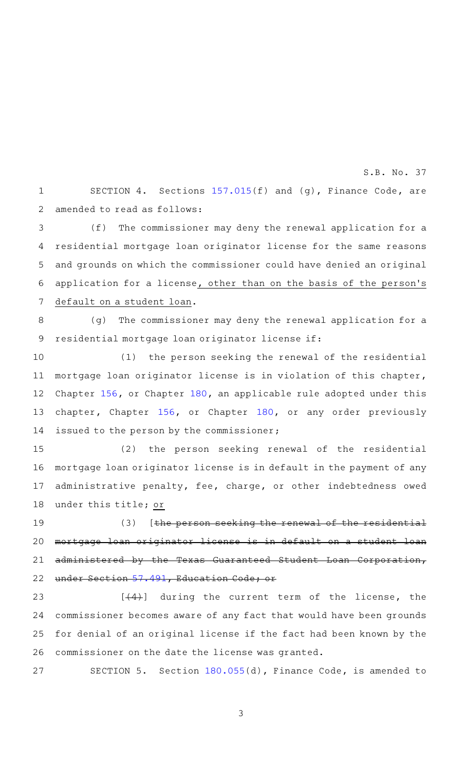SECTION 4. Sections  $157.015(f)$  $157.015(f)$  and (g), Finance Code, are amended to read as follows: 1 2

(f) The commissioner may deny the renewal application for a residential mortgage loan originator license for the same reasons and grounds on which the commissioner could have denied an original application for a license, other than on the basis of the person 's default on a student loan. 3 4 5 6 7

(g) The commissioner may deny the renewal application for a residential mortgage loan originator license if: 8 9

 $(1)$  the person seeking the renewal of the residential mortgage loan originator license is in violation of this chapter, Chapter [156,](http://www.statutes.legis.state.tx.us/GetStatute.aspx?Code=FI&Value=156&Date=5/21/2019) or Chapter [180,](http://www.statutes.legis.state.tx.us/GetStatute.aspx?Code=FI&Value=180&Date=5/21/2019) an applicable rule adopted under this chapter, Chapter [156,](http://www.statutes.legis.state.tx.us/GetStatute.aspx?Code=FI&Value=156&Date=5/21/2019) or Chapter [180,](http://www.statutes.legis.state.tx.us/GetStatute.aspx?Code=FI&Value=180&Date=5/21/2019) or any order previously issued to the person by the commissioner; 10 11 12 13 14

(2) the person seeking renewal of the residential mortgage loan originator license is in default in the payment of any administrative penalty, fee, charge, or other indebtedness owed under this title; or 15 16 17 18

 $(3)$  [the person seeking the renewal of the residential mortgage loan originator license is in default on a student loan administered by the Texas Guaranteed Student Loan Corporation, under Section [57.491,](http://www.statutes.legis.state.tx.us/GetStatute.aspx?Code=ED&Value=57.491&Date=5/21/2019) Education Code; or 19 20 21 22

 $[$   $(4)$ ] during the current term of the license, the commissioner becomes aware of any fact that would have been grounds for denial of an original license if the fact had been known by the commissioner on the date the license was granted. 23 24 25 26

SECTION 5. Section [180.055](http://www.statutes.legis.state.tx.us/GetStatute.aspx?Code=FI&Value=180.055&Date=5/21/2019)(d), Finance Code, is amended to 27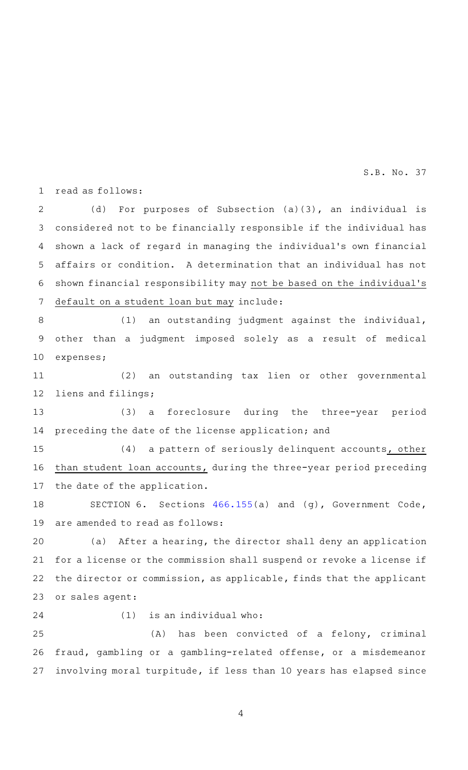read as follows: 1

(d) For purposes of Subsection  $(a)(3)$ , an individual is considered not to be financially responsible if the individual has shown a lack of regard in managing the individual 's own financial affairs or condition. A determination that an individual has not shown financial responsibility may not be based on the individual 's default on a student loan but may include: 2 3 4 5 6 7

 $(1)$  an outstanding judgment against the individual, other than a judgment imposed solely as a result of medical expenses; 8 9 10

(2) an outstanding tax lien or other governmental liens and filings; 11 12

(3) a foreclosure during the three-year period preceding the date of the license application; and 13 14

 $(4)$  a pattern of seriously delinquent accounts, other than student loan accounts, during the three-year period preceding the date of the application. 15 16 17

SECTION 6. Sections [466.155\(](http://www.statutes.legis.state.tx.us/GetStatute.aspx?Code=GV&Value=466.155&Date=5/21/2019)a) and (g), Government Code, are amended to read as follows: 18 19

(a) After a hearing, the director shall deny an application for a license or the commission shall suspend or revoke a license if the director or commission, as applicable, finds that the applicant or sales agent: 20 21 22 23

```
24
```
 $(1)$  is an individual who:

(A) has been convicted of a felony, criminal fraud, gambling or a gambling-related offense, or a misdemeanor involving moral turpitude, if less than 10 years has elapsed since 25 26 27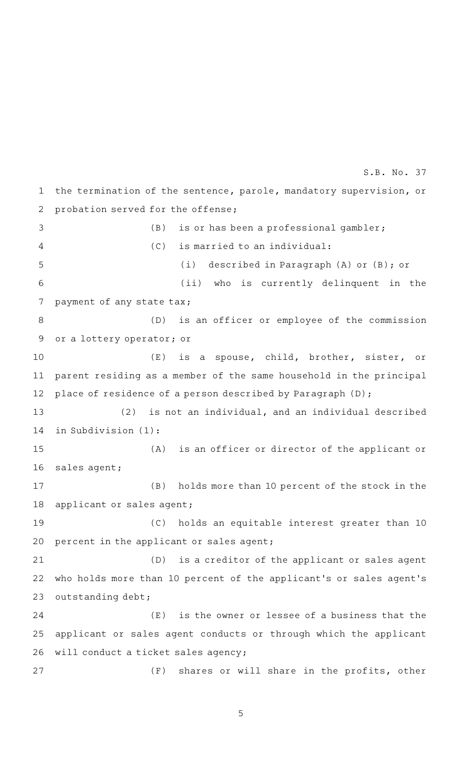the termination of the sentence, parole, mandatory supervision, or probation served for the offense;  $(B)$  is or has been a professional gambler;  $(C)$  is married to an individual: (i) described in Paragraph (A) or (B); or (ii) who is currently delinquent in the payment of any state tax; (D) is an officer or employee of the commission or a lottery operator; or  $(E)$  is a spouse, child, brother, sister, or parent residing as a member of the same household in the principal place of residence of a person described by Paragraph (D); (2) is not an individual, and an individual described in Subdivision (1):  $(A)$  is an officer or director of the applicant or sales agent; (B) holds more than 10 percent of the stock in the applicant or sales agent; (C) holds an equitable interest greater than 10 percent in the applicant or sales agent; (D) is a creditor of the applicant or sales agent who holds more than 10 percent of the applicant 's or sales agent 's outstanding debt;  $(E)$  is the owner or lessee of a business that the applicant or sales agent conducts or through which the applicant will conduct a ticket sales agency; (F) shares or will share in the profits, other 1 2 3 4 5 6 7 8 9 10 11 12 13 14 15 16 17 18 19 20 21 22 23 24 25 26 27 S.B. No. 37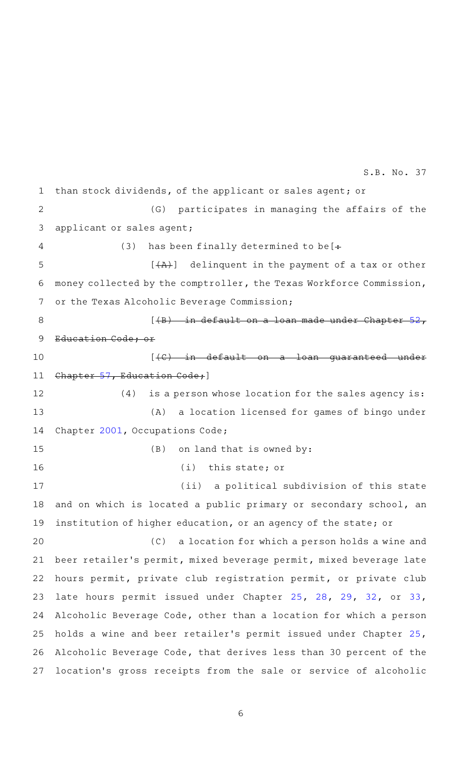than stock dividends, of the applicant or sales agent; or (G) participates in managing the affairs of the applicant or sales agent; (3) has been finally determined to be  $[+]$  $[\overline{+A}A]$  delinquent in the payment of a tax or other money collected by the comptroller, the Texas Workforce Commission, or the Texas Alcoholic Beverage Commission; [(B) in default on a loan made under Chapter Education Code; or  $[$   $\langle$   $C$   $\rangle$   $\quad$  in default on a loan quaranteed Chapter [57,](http://www.statutes.legis.state.tx.us/GetStatute.aspx?Code=ED&Value=57&Date=5/21/2019) Education Code; ]  $(4)$  is a person whose location for the sales agency is: (A) a location licensed for games of bingo under Chapter [2001](http://www.statutes.legis.state.tx.us/GetStatute.aspx?Code=OC&Value=2001&Date=5/21/2019), Occupations Code;  $(B)$  on land that is owned by:  $(i)$  this state; or (ii) a political subdivision of this state and on which is located a public primary or secondary school, an institution of higher education, or an agency of the state; or (C) a location for which a person holds a wine and beer retailer 's permit, mixed beverage permit, mixed beverage late hours permit, private club registration permit, or private club late hours permit issued under Chapter [25](http://www.statutes.legis.state.tx.us/GetStatute.aspx?Code=AL&Value=25&Date=5/21/2019), [28,](http://www.statutes.legis.state.tx.us/GetStatute.aspx?Code=AL&Value=28&Date=5/21/2019) [29](http://www.statutes.legis.state.tx.us/GetStatute.aspx?Code=AL&Value=29&Date=5/21/2019), [32,](http://www.statutes.legis.state.tx.us/GetStatute.aspx?Code=AL&Value=32&Date=5/21/2019) or [33](http://www.statutes.legis.state.tx.us/GetStatute.aspx?Code=AL&Value=33&Date=5/21/2019), Alcoholic Beverage Code, other than a location for which a person holds a wine and beer retailer 's permit issued under Chapter [25](http://www.statutes.legis.state.tx.us/GetStatute.aspx?Code=AL&Value=25&Date=5/21/2019), Alcoholic Beverage Code, that derives less than 30 percent of the location 's gross receipts from the sale or service of alcoholic 1 2 3 4 5 6 7 8 9 10 11 12 13 14 15 16 17 18 19 20 21 22 23 24 25 26 27 S.B. No. 37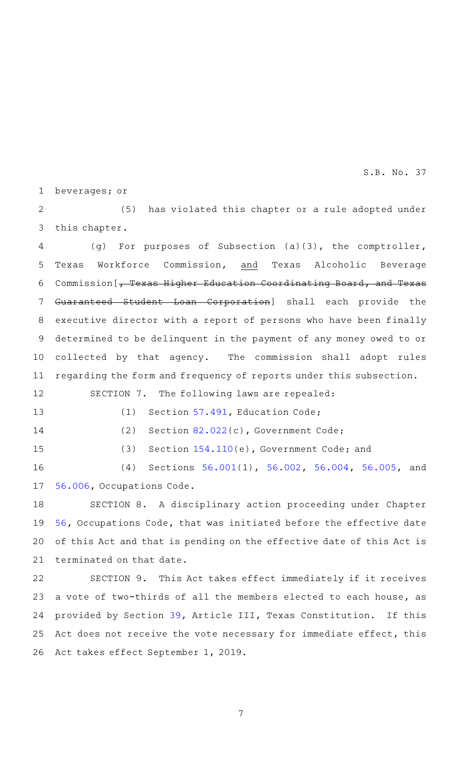beverages; or 1

(5) has violated this chapter or a rule adopted under this chapter. 2 3

(g) For purposes of Subsection  $(a)(3)$ , the comptroller, Texas Workforce Commission, and Texas Alcoholic Beverage Commission [, Texas Higher Education Coordinating Board, and Texas Guaranteed Student Loan Corporation] shall each provide the executive director with a report of persons who have been finally determined to be delinquent in the payment of any money owed to or collected by that agency. The commission shall adopt rules regarding the form and frequency of reports under this subsection. 4 5 6 7 8 9 10 11

SECTION 7. The following laws are repealed:

13

12

14

 $(1)$  Section [57.491](http://www.statutes.legis.state.tx.us/GetStatute.aspx?Code=ED&Value=57.491&Date=5/21/2019), Education Code;

(2) Section  $82.022(c)$  $82.022(c)$ , Government Code;

15

(3) Section  $154.110(e)$  $154.110(e)$ , Government Code; and

(4) Sections [56.001](http://www.statutes.legis.state.tx.us/GetStatute.aspx?Code=OC&Value=56.001&Date=5/21/2019)(1), [56.002](http://www.statutes.legis.state.tx.us/GetStatute.aspx?Code=OC&Value=56.002&Date=5/21/2019), [56.004](http://www.statutes.legis.state.tx.us/GetStatute.aspx?Code=OC&Value=56.004&Date=5/21/2019), [56.005](http://www.statutes.legis.state.tx.us/GetStatute.aspx?Code=OC&Value=56.005&Date=5/21/2019), and [56.006](http://www.statutes.legis.state.tx.us/GetStatute.aspx?Code=OC&Value=56.006&Date=5/21/2019), Occupations Code. 16 17

SECTION 8. A disciplinary action proceeding under Chapter [56](http://www.statutes.legis.state.tx.us/GetStatute.aspx?Code=OC&Value=56&Date=5/21/2019), Occupations Code, that was initiated before the effective date of this Act and that is pending on the effective date of this Act is terminated on that date. 18 19 20 21

SECTION 9. This Act takes effect immediately if it receives a vote of two-thirds of all the members elected to each house, as provided by Section [39,](http://www.statutes.legis.state.tx.us/GetStatute.aspx?Code=CN&Value=3.39&Date=5/21/2019) Article III, Texas Constitution. If this Act does not receive the vote necessary for immediate effect, this Act takes effect September 1, 2019. 22 23 24 25 26